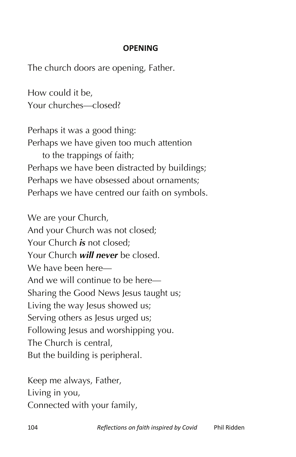## **OPENING**

The church doors are opening, Father.

How could it be, Your churches—closed?

Perhaps it was a good thing: Perhaps we have given too much attention to the trappings of faith; Perhaps we have been distracted by buildings; Perhaps we have obsessed about ornaments; Perhaps we have centred our faith on symbols.

We are your Church, And your Church was not closed; Your Church *is* not closed; Your Church *will never* be closed. We have been here— And we will continue to be here— Sharing the Good News Jesus taught us; Living the way Jesus showed us; Serving others as Jesus urged us; Following Jesus and worshipping you. The Church is central, But the building is peripheral.

Keep me always, Father, Living in you, Connected with your family,